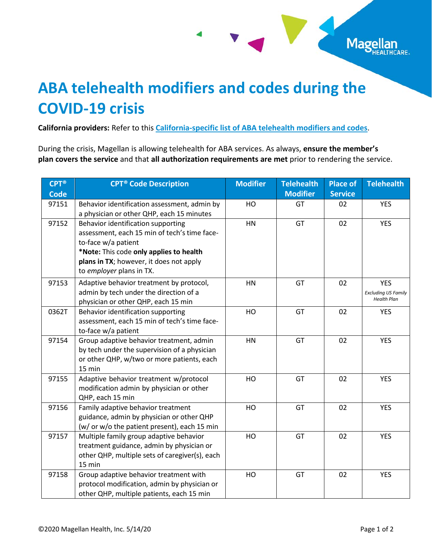## **ABA telehealth modifiers and codes during the COVID-19 crisis**

**California providers:** Refer to this **[California-specific list of ABA telehealth modifiers and codes](http://www.magellanprovider.com/media/166877/ca_covid_aba.pdf)**.

During the crisis, Magellan is allowing telehealth for ABA services. As always, **ensure the member's plan covers the service** and that **all authorization requirements are met** prior to rendering the service.

Mage

ARE.

| <b>CPT®</b> | <b>CPT<sup>®</sup></b> Code Description                                                                                                                                                                                     | <b>Modifier</b> | <b>Telehealth</b> | <b>Place of</b> | <b>Telehealth</b>                                              |
|-------------|-----------------------------------------------------------------------------------------------------------------------------------------------------------------------------------------------------------------------------|-----------------|-------------------|-----------------|----------------------------------------------------------------|
| <b>Code</b> |                                                                                                                                                                                                                             |                 | <b>Modifier</b>   | <b>Service</b>  |                                                                |
| 97151       | Behavior identification assessment, admin by<br>a physician or other QHP, each 15 minutes                                                                                                                                   | HO              | GT                | 02              | <b>YES</b>                                                     |
| 97152       | Behavior identification supporting<br>assessment, each 15 min of tech's time face-<br>to-face w/a patient<br>*Note: This code only applies to health<br>plans in TX; however, it does not apply<br>to employer plans in TX. | HN              | GT                | 02              | <b>YES</b>                                                     |
| 97153       | Adaptive behavior treatment by protocol,<br>admin by tech under the direction of a<br>physician or other QHP, each 15 min                                                                                                   | HN              | GT                | 02              | <b>YES</b><br><b>Excluding US Family</b><br><b>Health Plan</b> |
| 0362T       | Behavior identification supporting<br>assessment, each 15 min of tech's time face-<br>to-face w/a patient                                                                                                                   | HO              | GT                | 02              | <b>YES</b>                                                     |
| 97154       | Group adaptive behavior treatment, admin<br>by tech under the supervision of a physician<br>or other QHP, w/two or more patients, each<br>15 min                                                                            | HN              | GT                | 02              | <b>YES</b>                                                     |
| 97155       | Adaptive behavior treatment w/protocol<br>modification admin by physician or other<br>QHP, each 15 min                                                                                                                      | HO              | GT                | 02              | <b>YES</b>                                                     |
| 97156       | Family adaptive behavior treatment<br>guidance, admin by physician or other QHP<br>(w/ or w/o the patient present), each 15 min                                                                                             | HO              | GT                | 02              | <b>YES</b>                                                     |
| 97157       | Multiple family group adaptive behavior<br>treatment guidance, admin by physician or<br>other QHP, multiple sets of caregiver(s), each<br>15 min                                                                            | HO              | GT                | 02              | <b>YES</b>                                                     |
| 97158       | Group adaptive behavior treatment with<br>protocol modification, admin by physician or<br>other QHP, multiple patients, each 15 min                                                                                         | HO              | GT                | 02              | <b>YES</b>                                                     |